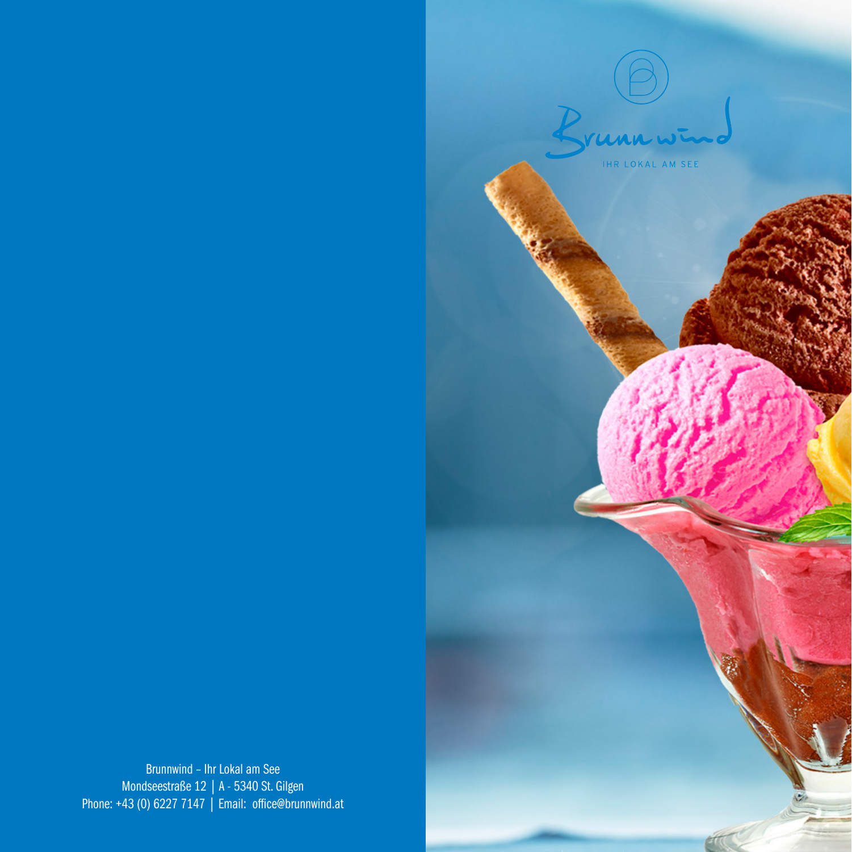

THR LOKAL AM SEE

Brunnwind – Ihr Lokal am See Mondseestraße 12 | A - 5340 St. Gilgen Phone: +43 (0) 6227 7147 | Email: office@brunnwind.at